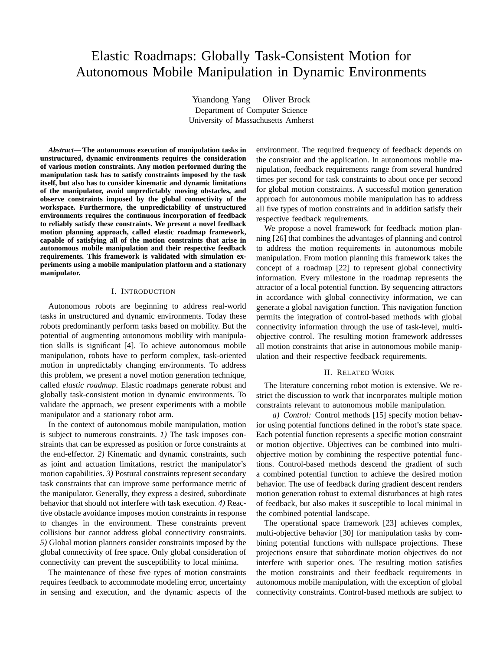# Elastic Roadmaps: Globally Task-Consistent Motion for Autonomous Mobile Manipulation in Dynamic Environments

Yuandong Yang Oliver Brock Department of Computer Science University of Massachusetts Amherst

*Abstract***—The autonomous execution of manipulation tasks in unstructured, dynamic environments requires the consideration of various motion constraints. Any motion performed during the manipulation task has to satisfy constraints imposed by the task itself, but also has to consider kinematic and dynamic limitations of the manipulator, avoid unpredictably moving obstacles, and observe constraints imposed by the global connectivity of the workspace. Furthermore, the unpredictability of unstructured environments requires the continuous incorporation of feedback to reliably satisfy these constraints. We present a novel feedback motion planning approach, called elastic roadmap framework, capable of satisfying all of the motion constraints that arise in autonomous mobile manipulation and their respective feedback requirements. This framework is validated with simulation experiments using a mobile manipulation platform and a stationary manipulator.**

## I. INTRODUCTION

Autonomous robots are beginning to address real-world tasks in unstructured and dynamic environments. Today these robots predominantly perform tasks based on mobility. But the potential of augmenting autonomous mobility with manipulation skills is significant [4]. To achieve autonomous mobile manipulation, robots have to perform complex, task-oriented motion in unpredictably changing environments. To address this problem, we present a novel motion generation technique, called *elastic roadmap*. Elastic roadmaps generate robust and globally task-consistent motion in dynamic environments. To validate the approach, we present experiments with a mobile manipulator and a stationary robot arm.

In the context of autonomous mobile manipulation, motion is subject to numerous constraints. *1)* The task imposes constraints that can be expressed as position or force constraints at the end-effector. *2)* Kinematic and dynamic constraints, such as joint and actuation limitations, restrict the manipulator's motion capabilities. *3)* Postural constraints represent secondary task constraints that can improve some performance metric of the manipulator. Generally, they express a desired, subordinate behavior that should not interfere with task execution. *4)* Reactive obstacle avoidance imposes motion constraints in response to changes in the environment. These constraints prevent collisions but cannot address global connectivity constraints. *5)* Global motion planners consider constraints imposed by the global connectivity of free space. Only global consideration of connectivity can prevent the susceptibility to local minima.

The maintenance of these five types of motion constraints requires feedback to accommodate modeling error, uncertainty in sensing and execution, and the dynamic aspects of the environment. The required frequency of feedback depends on the constraint and the application. In autonomous mobile manipulation, feedback requirements range from several hundred times per second for task constraints to about once per second for global motion constraints. A successful motion generation approach for autonomous mobile manipulation has to address all five types of motion constraints and in addition satisfy their respective feedback requirements.

We propose a novel framework for feedback motion planning [26] that combines the advantages of planning and control to address the motion requirements in autonomous mobile manipulation. From motion planning this framework takes the concept of a roadmap [22] to represent global connectivity information. Every milestone in the roadmap represents the attractor of a local potential function. By sequencing attractors in accordance with global connectivity information, we can generate a global navigation function. This navigation function permits the integration of control-based methods with global connectivity information through the use of task-level, multiobjective control. The resulting motion framework addresses all motion constraints that arise in autonomous mobile manipulation and their respective feedback requirements.

#### II. RELATED WORK

The literature concerning robot motion is extensive. We restrict the discussion to work that incorporates multiple motion constraints relevant to autonomous mobile manipulation.

*a) Control:* Control methods [15] specify motion behavior using potential functions defined in the robot's state space. Each potential function represents a specific motion constraint or motion objective. Objectives can be combined into multiobjective motion by combining the respective potential functions. Control-based methods descend the gradient of such a combined potential function to achieve the desired motion behavior. The use of feedback during gradient descent renders motion generation robust to external disturbances at high rates of feedback, but also makes it susceptible to local minimal in the combined potential landscape.

The operational space framework [23] achieves complex, multi-objective behavior [30] for manipulation tasks by combining potential functions with nullspace projections. These projections ensure that subordinate motion objectives do not interfere with superior ones. The resulting motion satisfies the motion constraints and their feedback requirements in autonomous mobile manipulation, with the exception of global connectivity constraints. Control-based methods are subject to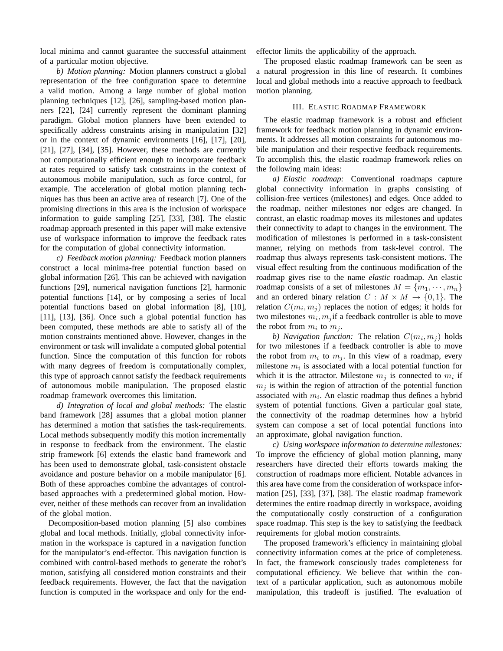local minima and cannot guarantee the successful attainment of a particular motion objective.

*b) Motion planning:* Motion planners construct a global representation of the free configuration space to determine a valid motion. Among a large number of global motion planning techniques [12], [26], sampling-based motion planners [22], [24] currently represent the dominant planning paradigm. Global motion planners have been extended to specifically address constraints arising in manipulation [32] or in the context of dynamic environments [16], [17], [20], [21], [27], [34], [35]. However, these methods are currently not computationally efficient enough to incorporate feedback at rates required to satisfy task constraints in the context of autonomous mobile manipulation, such as force control, for example. The acceleration of global motion planning techniques has thus been an active area of research [7]. One of the promising directions in this area is the inclusion of workspace information to guide sampling [25], [33], [38]. The elastic roadmap approach presented in this paper will make extensive use of workspace information to improve the feedback rates for the computation of global connectivity information.

*c) Feedback motion planning:* Feedback motion planners construct a local minima-free potential function based on global information [26]. This can be achieved with navigation functions [29], numerical navigation functions [2], harmonic potential functions [14], or by composing a series of local potential functions based on global information [8], [10], [11], [13], [36]. Once such a global potential function has been computed, these methods are able to satisfy all of the motion constraints mentioned above. However, changes in the environment or task will invalidate a computed global potential function. Since the computation of this function for robots with many degrees of freedom is computationally complex, this type of approach cannot satisfy the feedback requirements of autonomous mobile manipulation. The proposed elastic roadmap framework overcomes this limitation.

*d) Integration of local and global methods:* The elastic band framework [28] assumes that a global motion planner has determined a motion that satisfies the task-requirements. Local methods subsequently modify this motion incrementally in response to feedback from the environment. The elastic strip framework [6] extends the elastic band framework and has been used to demonstrate global, task-consistent obstacle avoidance and posture behavior on a mobile manipulator [6]. Both of these approaches combine the advantages of controlbased approaches with a predetermined global motion. However, neither of these methods can recover from an invalidation of the global motion.

Decomposition-based motion planning [5] also combines global and local methods. Initially, global connectivity information in the workspace is captured in a navigation function for the manipulator's end-effector. This navigation function is combined with control-based methods to generate the robot's motion, satisfying all considered motion constraints and their feedback requirements. However, the fact that the navigation function is computed in the workspace and only for the endeffector limits the applicability of the approach.

The proposed elastic roadmap framework can be seen as a natural progression in this line of research. It combines local and global methods into a reactive approach to feedback motion planning.

## III. ELASTIC ROADMAP FRAMEWORK

The elastic roadmap framework is a robust and efficient framework for feedback motion planning in dynamic environments. It addresses all motion constraints for autonomous mobile manipulation and their respective feedback requirements. To accomplish this, the elastic roadmap framework relies on the following main ideas:

*a) Elastic roadmap:* Conventional roadmaps capture global connectivity information in graphs consisting of collision-free vertices (milestones) and edges. Once added to the roadmap, neither milestones nor edges are changed. In contrast, an elastic roadmap moves its milestones and updates their connectivity to adapt to changes in the environment. The modification of milestones is performed in a task-consistent manner, relying on methods from task-level control. The roadmap thus always represents task-consistent motions. The visual effect resulting from the continuous modification of the roadmap gives rise to the name *elastic* roadmap. An elastic roadmap consists of a set of milestones  $M = \{m_1, \dots, m_n\}$ and an ordered binary relation  $C : M \times M \rightarrow \{0, 1\}$ . The relation  $C(m_i, m_j)$  replaces the notion of edges; it holds for two milestones  $m_i, m_j$  if a feedback controller is able to move the robot from  $m_i$  to  $m_j$ .

*b) Navigation function:* The relation  $C(m_i, m_j)$  holds for two milestones if a feedback controller is able to move the robot from  $m_i$  to  $m_j$ . In this view of a roadmap, every milestone  $m_i$  is associated with a local potential function for which it is the attractor. Milestone  $m_j$  is connected to  $m_i$  if  $m_i$  is within the region of attraction of the potential function associated with  $m_i$ . An elastic roadmap thus defines a hybrid system of potential functions. Given a particular goal state, the connectivity of the roadmap determines how a hybrid system can compose a set of local potential functions into an approximate, global navigation function.

*c) Using workspace information to determine milestones:* To improve the efficiency of global motion planning, many researchers have directed their efforts towards making the construction of roadmaps more efficient. Notable advances in this area have come from the consideration of workspace information [25], [33], [37], [38]. The elastic roadmap framework determines the entire roadmap directly in workspace, avoiding the computationally costly construction of a configuration space roadmap. This step is the key to satisfying the feedback requirements for global motion constraints.

The proposed framework's efficiency in maintaining global connectivity information comes at the price of completeness. In fact, the framework consciously trades completeness for computational efficiency. We believe that within the context of a particular application, such as autonomous mobile manipulation, this tradeoff is justified. The evaluation of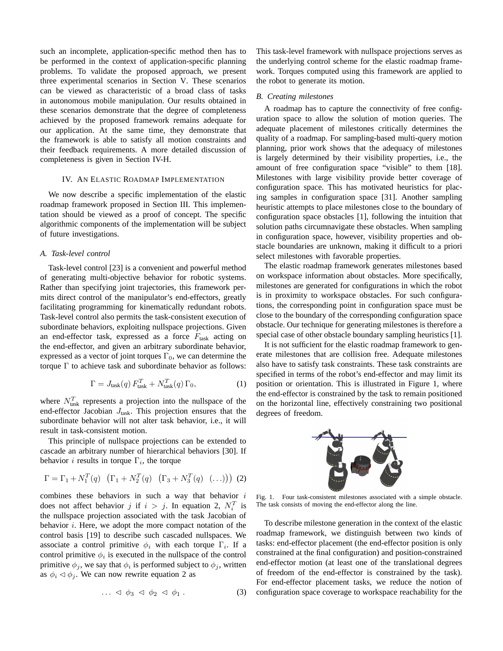such an incomplete, application-specific method then has to be performed in the context of application-specific planning problems. To validate the proposed approach, we present three experimental scenarios in Section V. These scenarios can be viewed as characteristic of a broad class of tasks in autonomous mobile manipulation. Our results obtained in these scenarios demonstrate that the degree of completeness achieved by the proposed framework remains adequate for our application. At the same time, they demonstrate that the framework is able to satisfy all motion constraints and their feedback requirements. A more detailed discussion of completeness is given in Section IV-H.

### IV. AN ELASTIC ROADMAP IMPLEMENTATION

We now describe a specific implementation of the elastic roadmap framework proposed in Section III. This implementation should be viewed as a proof of concept. The specific algorithmic components of the implementation will be subject of future investigations.

## *A. Task-level control*

Task-level control [23] is a convenient and powerful method of generating multi-objective behavior for robotic systems. Rather than specifying joint trajectories, this framework permits direct control of the manipulator's end-effectors, greatly facilitating programming for kinematically redundant robots. Task-level control also permits the task-consistent execution of subordinate behaviors, exploiting nullspace projections. Given an end-effector task, expressed as a force  $F_{\text{task}}$  acting on the end-effector, and given an arbitrary subordinate behavior, expressed as a vector of joint torques  $\Gamma_0$ , we can determine the torque Γ to achieve task and subordinate behavior as follows:

$$
\Gamma = J_{\text{task}}(q) F_{\text{task}}^T + N_{\text{task}}^T(q) \Gamma_0,\tag{1}
$$

where  $N_{\text{task}}^T$  represents a projection into the nullspace of the end-effector Jacobian  $J<sub>task</sub>$ . This projection ensures that the subordinate behavior will not alter task behavior, i.e., it will result in task-consistent motion.

This principle of nullspace projections can be extended to cascade an arbitrary number of hierarchical behaviors [30]. If behavior *i* results in torque  $\Gamma_i$ , the torque

$$
\Gamma = \Gamma_1 + N_1^T(q) \left( \Gamma_1 + N_2^T(q) \left( \Gamma_3 + N_3^T(q) \left( \dots \right) \right) \right) (2)
$$

combines these behaviors in such a way that behavior  $i$ does not affect behavior j if  $i > j$ . In equation 2,  $N_i^T$  is the nullspace projection associated with the task Jacobian of behavior  $i$ . Here, we adopt the more compact notation of the control basis [19] to describe such cascaded nullspaces. We associate a control primitive  $\phi_i$  with each torque  $\Gamma_i$ . If a control primitive  $\phi_i$  is executed in the nullspace of the control primitive  $\phi_j$ , we say that  $\phi_i$  is performed subject to  $\phi_j$ , written as  $\phi_i \triangleleft \phi_i$ . We can now rewrite equation 2 as

$$
\ldots \vartriangleleft \phi_3 \vartriangleleft \phi_2 \vartriangleleft \phi_1 \,. \tag{3}
$$

This task-level framework with nullspace projections serves as the underlying control scheme for the elastic roadmap framework. Torques computed using this framework are applied to the robot to generate its motion.

#### *B. Creating milestones*

A roadmap has to capture the connectivity of free configuration space to allow the solution of motion queries. The adequate placement of milestones critically determines the quality of a roadmap. For sampling-based multi-query motion planning, prior work shows that the adequacy of milestones is largely determined by their visibility properties, i.e., the amount of free configuration space "visible" to them [18]. Milestones with large visibility provide better coverage of configuration space. This has motivated heuristics for placing samples in configuration space [31]. Another sampling heuristic attempts to place milestones close to the boundary of configuration space obstacles [1], following the intuition that solution paths circumnavigate these obstacles. When sampling in configuration space, however, visibility properties and obstacle boundaries are unknown, making it difficult to a priori select milestones with favorable properties.

The elastic roadmap framework generates milestones based on workspace information about obstacles. More specifically, milestones are generated for configurations in which the robot is in proximity to workspace obstacles. For such configurations, the corresponding point in configuration space must be close to the boundary of the corresponding configuration space obstacle. Our technique for generating milestones is therefore a special case of other obstacle boundary sampling heuristics [1].

It is not sufficient for the elastic roadmap framework to generate milestones that are collision free. Adequate milestones also have to satisfy task constraints. These task constraints are specified in terms of the robot's end-effector and may limit its position or orientation. This is illustrated in Figure 1, where the end-effector is constrained by the task to remain positioned on the horizontal line, effectively constraining two positional degrees of freedom.



Fig. 1. Four task-consistent milestones associated with a simple obstacle. The task consists of moving the end-effector along the line.

To describe milestone generation in the context of the elastic roadmap framework, we distinguish between two kinds of tasks: end-effector placement (the end-effector position is only constrained at the final configuration) and position-constrained end-effector motion (at least one of the translational degrees of freedom of the end-effector is constrained by the task). For end-effector placement tasks, we reduce the notion of configuration space coverage to workspace reachability for the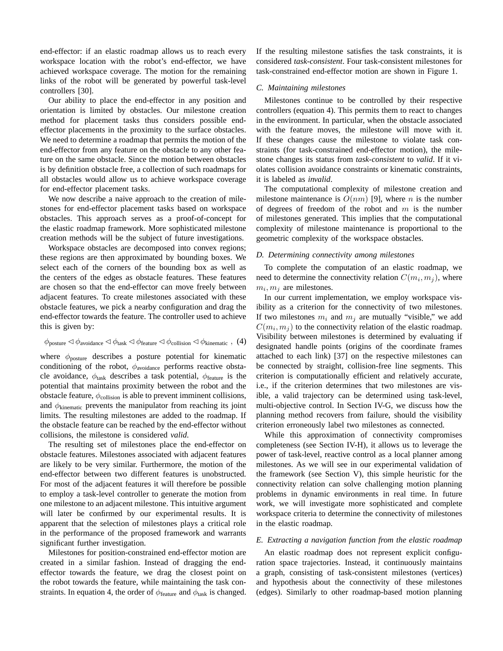end-effector: if an elastic roadmap allows us to reach every workspace location with the robot's end-effector, we have achieved workspace coverage. The motion for the remaining links of the robot will be generated by powerful task-level controllers [30].

Our ability to place the end-effector in any position and orientation is limited by obstacles. Our milestone creation method for placement tasks thus considers possible endeffector placements in the proximity to the surface obstacles. We need to determine a roadmap that permits the motion of the end-effector from any feature on the obstacle to any other feature on the same obstacle. Since the motion between obstacles is by definition obstacle free, a collection of such roadmaps for all obstacles would allow us to achieve workspace coverage for end-effector placement tasks.

We now describe a naive approach to the creation of milestones for end-effector placement tasks based on workspace obstacles. This approach serves as a proof-of-concept for the elastic roadmap framework. More sophisticated milestone creation methods will be the subject of future investigations.

Workspace obstacles are decomposed into convex regions; these regions are then approximated by bounding boxes. We select each of the corners of the bounding box as well as the centers of the edges as obstacle features. These features are chosen so that the end-effector can move freely between adjacent features. To create milestones associated with these obstacle features, we pick a nearby configuration and drag the end-effector towards the feature. The controller used to achieve this is given by:

$$
\phi_{\text{posture}} \lhd \phi_{\text{avoidance}} \lhd \phi_{\text{task}} \lhd \phi_{\text{feature}} \lhd \phi_{\text{collision}} \lhd \phi_{\text{kinematic}} , \tag{4}
$$

where  $\phi_{\text{posture}}$  describes a posture potential for kinematic conditioning of the robot,  $\phi$ <sub>avoidance</sub> performs reactive obstacle avoidance,  $\phi_{task}$  describes a task potential,  $\phi_{feature}$  is the potential that maintains proximity between the robot and the obstacle feature,  $\phi_{\text{collision}}$  is able to prevent imminent collisions, and  $\phi_{\text{kinematic}}$  prevents the manipulator from reaching its joint limits. The resulting milestones are added to the roadmap. If the obstacle feature can be reached by the end-effector without collisions, the milestone is considered *valid*.

The resulting set of milestones place the end-effector on obstacle features. Milestones associated with adjacent features are likely to be very similar. Furthermore, the motion of the end-effector between two different features is unobstructed. For most of the adjacent features it will therefore be possible to employ a task-level controller to generate the motion from one milestone to an adjacent milestone. This intuitive argument will later be confirmed by our experimental results. It is apparent that the selection of milestones plays a critical role in the performance of the proposed framework and warrants significant further investigation.

Milestones for position-constrained end-effector motion are created in a similar fashion. Instead of dragging the endeffector towards the feature, we drag the closest point on the robot towards the feature, while maintaining the task constraints. In equation 4, the order of  $\phi_{\text{feature}}$  and  $\phi_{\text{task}}$  is changed. If the resulting milestone satisfies the task constraints, it is considered *task-consistent*. Four task-consistent milestones for task-constrained end-effector motion are shown in Figure 1.

#### *C. Maintaining milestones*

Milestones continue to be controlled by their respective controllers (equation 4). This permits them to react to changes in the environment. In particular, when the obstacle associated with the feature moves, the milestone will move with it. If these changes cause the milestone to violate task constraints (for task-constrained end-effector motion), the milestone changes its status from *task-consistent* to *valid*. If it violates collision avoidance constraints or kinematic constraints, it is labeled as *invalid*.

The computational complexity of milestone creation and milestone maintenance is  $O(nm)$  [9], where *n* is the number of degrees of freedom of the robot and  $m$  is the number of milestones generated. This implies that the computational complexity of milestone maintenance is proportional to the geometric complexity of the workspace obstacles.

## *D. Determining connectivity among milestones*

To complete the computation of an elastic roadmap, we need to determine the connectivity relation  $C(m_i, m_j)$ , where  $m_i, m_j$  are milestones.

In our current implementation, we employ workspace visibility as a criterion for the connectivity of two milestones. If two milestones  $m_i$  and  $m_j$  are mutually "visible," we add  $C(m_i, m_j)$  to the connectivity relation of the elastic roadmap. Visibility between milestones is determined by evaluating if designated handle points (origins of the coordinate frames attached to each link) [37] on the respective milestones can be connected by straight, collision-free line segments. This criterion is computationally efficient and relatively accurate, i.e., if the criterion determines that two milestones are visible, a valid trajectory can be determined using task-level, multi-objective control. In Section IV-G, we discuss how the planning method recovers from failure, should the visibility criterion erroneously label two milestones as connected.

While this approximation of connectivity compromises completeness (see Section IV-H), it allows us to leverage the power of task-level, reactive control as a local planner among milestones. As we will see in our experimental validation of the framework (see Section V), this simple heuristic for the connectivity relation can solve challenging motion planning problems in dynamic environments in real time. In future work, we will investigate more sophisticated and complete workspace criteria to determine the connectivity of milestones in the elastic roadmap.

#### *E. Extracting a navigation function from the elastic roadmap*

An elastic roadmap does not represent explicit configuration space trajectories. Instead, it continuously maintains a graph, consisting of task-consistent milestones (vertices) and hypothesis about the connectivity of these milestones (edges). Similarly to other roadmap-based motion planning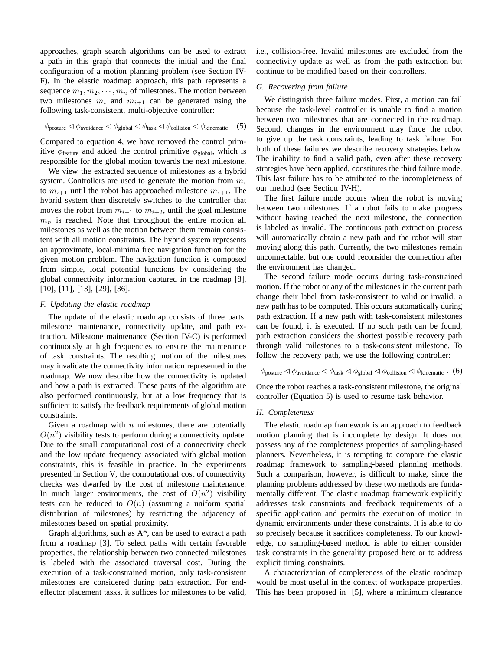approaches, graph search algorithms can be used to extract a path in this graph that connects the initial and the final configuration of a motion planning problem (see Section IV-F). In the elastic roadmap approach, this path represents a sequence  $m_1, m_2, \cdots, m_n$  of milestones. The motion between two milestones  $m_i$  and  $m_{i+1}$  can be generated using the following task-consistent, multi-objective controller:

$$
\phi_{\text{posture}} \lhd \phi_{\text{avoidance}} \lhd \phi_{\text{global}} \lhd \phi_{\text{task}} \lhd \phi_{\text{collision}} \lhd \phi_{\text{kinematic}} . \tag{5}
$$

Compared to equation 4, we have removed the control primitive  $\phi_{\text{feature}}$  and added the control primitive  $\phi_{\text{global}}$ , which is responsible for the global motion towards the next milestone.

We view the extracted sequence of milestones as a hybrid system. Controllers are used to generate the motion from  $m_i$ to  $m_{i+1}$  until the robot has approached milestone  $m_{i+1}$ . The hybrid system then discretely switches to the controller that moves the robot from  $m_{i+1}$  to  $m_{i+2}$ , until the goal milestone  $m_n$  is reached. Note that throughout the entire motion all milestones as well as the motion between them remain consistent with all motion constraints. The hybrid system represents an approximate, local-minima free navigation function for the given motion problem. The navigation function is composed from simple, local potential functions by considering the global connectivity information captured in the roadmap [8], [10], [11], [13], [29], [36].

#### *F. Updating the elastic roadmap*

The update of the elastic roadmap consists of three parts: milestone maintenance, connectivity update, and path extraction. Milestone maintenance (Section IV-C) is performed continuously at high frequencies to ensure the maintenance of task constraints. The resulting motion of the milestones may invalidate the connectivity information represented in the roadmap. We now describe how the connectivity is updated and how a path is extracted. These parts of the algorithm are also performed continuously, but at a low frequency that is sufficient to satisfy the feedback requirements of global motion constraints.

Given a roadmap with  $n$  milestones, there are potentially  $O(n^2)$  visibility tests to perform during a connectivity update. Due to the small computational cost of a connectivity check and the low update frequency associated with global motion constraints, this is feasible in practice. In the experiments presented in Section V, the computational cost of connectivity checks was dwarfed by the cost of milestone maintenance. In much larger environments, the cost of  $O(n^2)$  visibility tests can be reduced to  $O(n)$  (assuming a uniform spatial distribution of milestones) by restricting the adjacency of milestones based on spatial proximity.

Graph algorithms, such as  $A^*$ , can be used to extract a path from a roadmap [3]. To select paths with certain favorable properties, the relationship between two connected milestones is labeled with the associated traversal cost. During the execution of a task-constrained motion, only task-consistent milestones are considered during path extraction. For endeffector placement tasks, it suffices for milestones to be valid, i.e., collision-free. Invalid milestones are excluded from the connectivity update as well as from the path extraction but continue to be modified based on their controllers.

## *G. Recovering from failure*

We distinguish three failure modes. First, a motion can fail because the task-level controller is unable to find a motion between two milestones that are connected in the roadmap. Second, changes in the environment may force the robot to give up the task constraints, leading to task failure. For both of these failures we describe recovery strategies below. The inability to find a valid path, even after these recovery strategies have been applied, constitutes the third failure mode. This last failure has to be attributed to the incompleteness of our method (see Section IV-H).

The first failure mode occurs when the robot is moving between two milestones. If a robot fails to make progress without having reached the next milestone, the connection is labeled as invalid. The continuous path extraction process will automatically obtain a new path and the robot will start moving along this path. Currently, the two milestones remain unconnectable, but one could reconsider the connection after the environment has changed.

The second failure mode occurs during task-constrained motion. If the robot or any of the milestones in the current path change their label from task-consistent to valid or invalid, a new path has to be computed. This occurs automatically during path extraction. If a new path with task-consistent milestones can be found, it is executed. If no such path can be found, path extraction considers the shortest possible recovery path through valid milestones to a task-consistent milestone. To follow the recovery path, we use the following controller:

$$
\phi_{\text{posture}} \lhd \phi_{\text{avoidance}} \lhd \phi_{\text{task}} \lhd \phi_{\text{global}} \lhd \phi_{\text{collision}} \lhd \phi_{\text{kinematic}} \ . \tag{6}
$$

Once the robot reaches a task-consistent milestone, the original controller (Equation 5) is used to resume task behavior.

## *H. Completeness*

The elastic roadmap framework is an approach to feedback motion planning that is incomplete by design. It does not possess any of the completeness properties of sampling-based planners. Nevertheless, it is tempting to compare the elastic roadmap framework to sampling-based planning methods. Such a comparison, however, is difficult to make, since the planning problems addressed by these two methods are fundamentally different. The elastic roadmap framework explicitly addresses task constraints and feedback requirements of a specific application and permits the execution of motion in dynamic environments under these constraints. It is able to do so precisely because it sacrifices completeness. To our knowledge, no sampling-based method is able to either consider task constraints in the generality proposed here or to address explicit timing constraints.

A characterization of completeness of the elastic roadmap would be most useful in the context of workspace properties. This has been proposed in [5], where a minimum clearance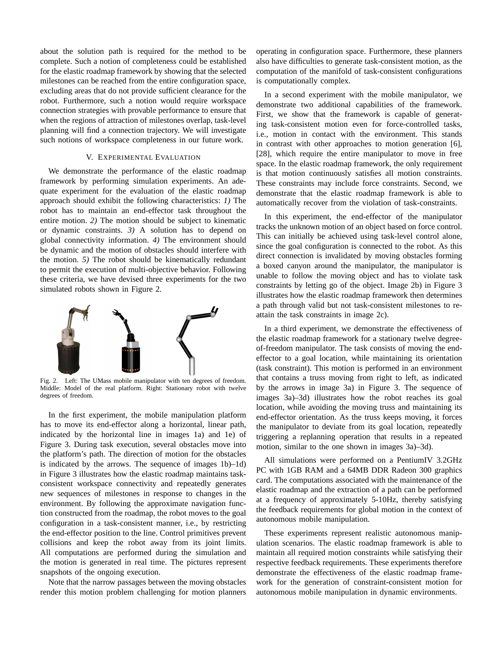about the solution path is required for the method to be complete. Such a notion of completeness could be established for the elastic roadmap framework by showing that the selected milestones can be reached from the entire configuration space, excluding areas that do not provide sufficient clearance for the robot. Furthermore, such a notion would require workspace connection strategies with provable performance to ensure that when the regions of attraction of milestones overlap, task-level planning will find a connection trajectory. We will investigate such notions of workspace completeness in our future work.

## V. EXPERIMENTAL EVALUATION

We demonstrate the performance of the elastic roadmap framework by performing simulation experiments. An adequate experiment for the evaluation of the elastic roadmap approach should exhibit the following characteristics: *1)* The robot has to maintain an end-effector task throughout the entire motion. *2)* The motion should be subject to kinematic or dynamic constraints. *3)* A solution has to depend on global connectivity information. *4)* The environment should be dynamic and the motion of obstacles should interfere with the motion. *5)* The robot should be kinematically redundant to permit the execution of multi-objective behavior. Following these criteria, we have devised three experiments for the two simulated robots shown in Figure 2.



Fig. 2. Left: The UMass mobile manipulator with ten degrees of freedom. Middle: Model of the real platform. Right: Stationary robot with twelve degrees of freedom.

In the first experiment, the mobile manipulation platform has to move its end-effector along a horizontal, linear path, indicated by the horizontal line in images 1a) and 1e) of Figure 3. During task execution, several obstacles move into the platform's path. The direction of motion for the obstacles is indicated by the arrows. The sequence of images 1b)–1d) in Figure 3 illustrates how the elastic roadmap maintains taskconsistent workspace connectivity and repeatedly generates new sequences of milestones in response to changes in the environment. By following the approximate navigation function constructed from the roadmap, the robot moves to the goal configuration in a task-consistent manner, i.e., by restricting the end-effector position to the line. Control primitives prevent collisions and keep the robot away from its joint limits. All computations are performed during the simulation and the motion is generated in real time. The pictures represent snapshots of the ongoing execution.

Note that the narrow passages between the moving obstacles render this motion problem challenging for motion planners operating in configuration space. Furthermore, these planners also have difficulties to generate task-consistent motion, as the computation of the manifold of task-consistent configurations is computationally complex.

In a second experiment with the mobile manipulator, we demonstrate two additional capabilities of the framework. First, we show that the framework is capable of generating task-consistent motion even for force-controlled tasks, i.e., motion in contact with the environment. This stands in contrast with other approaches to motion generation [6], [28], which require the entire manipulator to move in free space. In the elastic roadmap framework, the only requirement is that motion continuously satisfies all motion constraints. These constraints may include force constraints. Second, we demonstrate that the elastic roadmap framework is able to automatically recover from the violation of task-constraints.

In this experiment, the end-effector of the manipulator tracks the unknown motion of an object based on force control. This can initially be achieved using task-level control alone, since the goal configuration is connected to the robot. As this direct connection is invalidated by moving obstacles forming a boxed canyon around the manipulator, the manipulator is unable to follow the moving object and has to violate task constraints by letting go of the object. Image 2b) in Figure 3 illustrates how the elastic roadmap framework then determines a path through valid but not task-consistent milestones to reattain the task constraints in image 2c).

In a third experiment, we demonstrate the effectiveness of the elastic roadmap framework for a stationary twelve degreeof-freedom manipulator. The task consists of moving the endeffector to a goal location, while maintaining its orientation (task constraint). This motion is performed in an environment that contains a truss moving from right to left, as indicated by the arrows in image 3a) in Figure 3. The sequence of images 3a)–3d) illustrates how the robot reaches its goal location, while avoiding the moving truss and maintaining its end-effector orientation. As the truss keeps moving, it forces the manipulator to deviate from its goal location, repeatedly triggering a replanning operation that results in a repeated motion, similar to the one shown in images 3a)–3d).

All simulations were performed on a PentiumIV 3.2GHz PC with 1GB RAM and a 64MB DDR Radeon 300 graphics card. The computations associated with the maintenance of the elastic roadmap and the extraction of a path can be performed at a frequency of approximately 5-10Hz, thereby satisfying the feedback requirements for global motion in the context of autonomous mobile manipulation.

These experiments represent realistic autonomous manipulation scenarios. The elastic roadmap framework is able to maintain all required motion constraints while satisfying their respective feedback requirements. These experiments therefore demonstrate the effectiveness of the elastic roadmap framework for the generation of constraint-consistent motion for autonomous mobile manipulation in dynamic environments.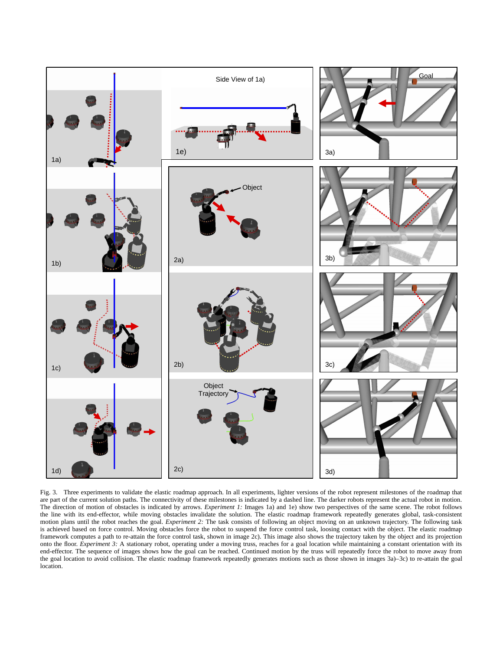

Fig. 3. Three experiments to validate the elastic roadmap approach. In all experiments, lighter versions of the robot represent milestones of the roadmap that are part of the current solution paths. The connectivity of these milestones is indicated by a dashed line. The darker robots represent the actual robot in motion. The direction of motion of obstacles is indicated by arrows. *Experiment 1:* Images 1a) and 1e) show two perspectives of the same scene. The robot follows the line with its end-effector, while moving obstacles invalidate the solution. The elastic roadmap framework repeatedly generates global, task-consistent motion plans until the robot reaches the goal. *Experiment 2:* The task consists of following an object moving on an unknown trajectory. The following task is achieved based on force control. Moving obstacles force the robot to suspend the force control task, loosing contact with the object. The elastic roadmap framework computes a path to re-attain the force control task, shown in image 2c). This image also shows the trajectory taken by the object and its projection onto the floor. *Experiment 3:* A stationary robot, operating under a moving truss, reaches for a goal location while maintaining a constant orientation with its end-effector. The sequence of images shows how the goal can be reached. Continued motion by the truss will repeatedly force the robot to move away from the goal location to avoid collision. The elastic roadmap framework repeatedly generates motions such as those shown in images 3a)–3c) to re-attain the goal location.